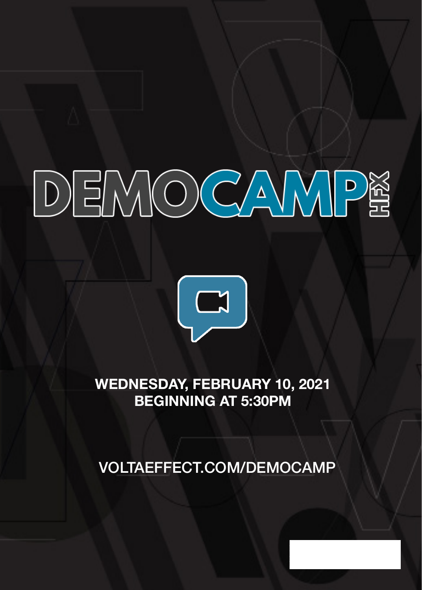## DEMOCAMPE



**WEDNESDAY, FEBRUARY 10, 2021 BEGINNING AT 5:30PM**

VOLTAEFFECT.COM/DEMOCAMP